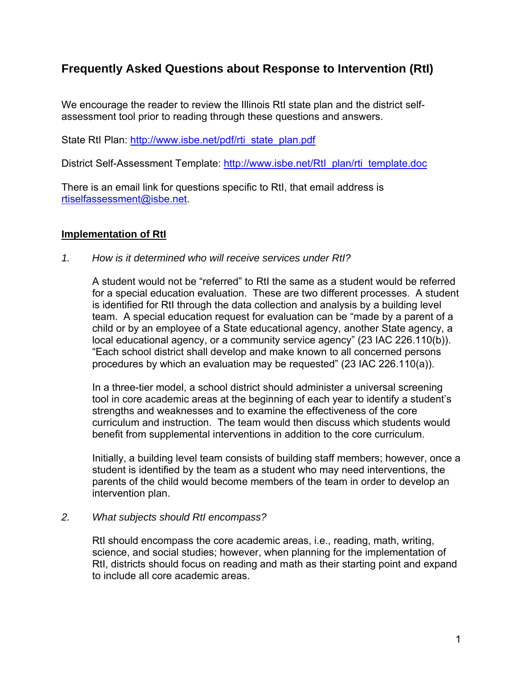# **Frequently Asked Questions about Response to Intervention (RtI)**

We encourage the reader to review the Illinois RtI state plan and the district selfassessment tool prior to reading through these questions and answers.

State RtI Plan: [http://www.isbe.net/pdf/rti\\_state\\_plan.pdf](http://www.isbe.net/pdf/rti_state_plan.pdf)

District Self-Assessment Template: [http://www.isbe.net/RtI\\_plan/rti\\_template.doc](http://www.isbe.net/RtI_plan/rti_template.doc)

There is an email link for questions specific to RtI, that email address is [rtiselfassessment@isbe.net.](mailto:rtiselfassessment@isbe.net)

## **Implementation of RtI**

*1. How is it determined who will receive services under RtI?* 

A student would not be "referred" to RtI the same as a student would be referred for a special education evaluation. These are two different processes. A student is identified for RtI through the data collection and analysis by a building level team. A special education request for evaluation can be "made by a parent of a child or by an employee of a State educational agency, another State agency, a local educational agency, or a community service agency" (23 IAC 226.110(b)). "Each school district shall develop and make known to all concerned persons procedures by which an evaluation may be requested" (23 IAC 226.110(a)).

In a three-tier model, a school district should administer a universal screening tool in core academic areas at the beginning of each year to identify a student's strengths and weaknesses and to examine the effectiveness of the core curriculum and instruction. The team would then discuss which students would benefit from supplemental interventions in addition to the core curriculum.

Initially, a building level team consists of building staff members; however, once a student is identified by the team as a student who may need interventions, the parents of the child would become members of the team in order to develop an intervention plan.

### *2. What subjects should RtI encompass?*

RtI should encompass the core academic areas, i.e., reading, math, writing, science, and social studies; however, when planning for the implementation of RtI, districts should focus on reading and math as their starting point and expand to include all core academic areas.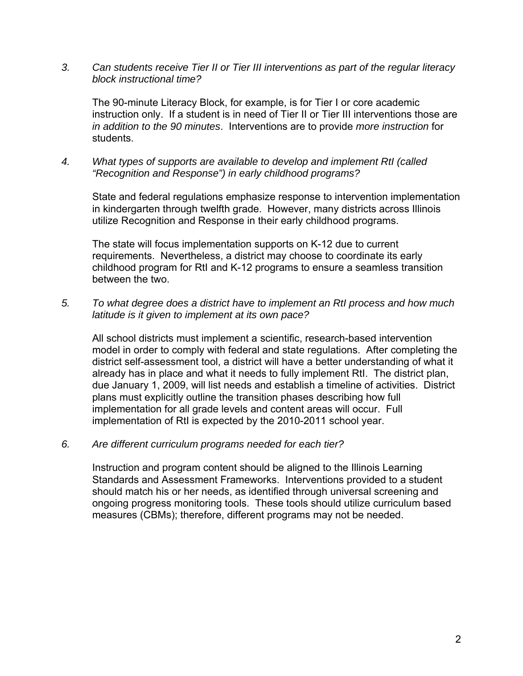*3. Can students receive Tier II or Tier III interventions as part of the regular literacy block instructional time?* 

The 90-minute Literacy Block, for example, is for Tier I or core academic instruction only. If a student is in need of Tier II or Tier III interventions those are *in addition to the 90 minutes*. Interventions are to provide *more instruction* for students.

*4. What types of supports are available to develop and implement RtI (called "Recognition and Response") in early childhood programs?* 

State and federal regulations emphasize response to intervention implementation in kindergarten through twelfth grade. However, many districts across Illinois utilize Recognition and Response in their early childhood programs.

The state will focus implementation supports on K-12 due to current requirements. Nevertheless, a district may choose to coordinate its early childhood program for RtI and K-12 programs to ensure a seamless transition between the two.

*5. To what degree does a district have to implement an RtI process and how much latitude is it given to implement at its own pace?* 

All school districts must implement a scientific, research-based intervention model in order to comply with federal and state regulations. After completing the district self-assessment tool, a district will have a better understanding of what it already has in place and what it needs to fully implement RtI. The district plan, due January 1, 2009, will list needs and establish a timeline of activities. District plans must explicitly outline the transition phases describing how full implementation for all grade levels and content areas will occur. Full implementation of RtI is expected by the 2010-2011 school year.

*6. Are different curriculum programs needed for each tier?* 

Instruction and program content should be aligned to the Illinois Learning Standards and Assessment Frameworks. Interventions provided to a student should match his or her needs, as identified through universal screening and ongoing progress monitoring tools. These tools should utilize curriculum based measures (CBMs); therefore, different programs may not be needed.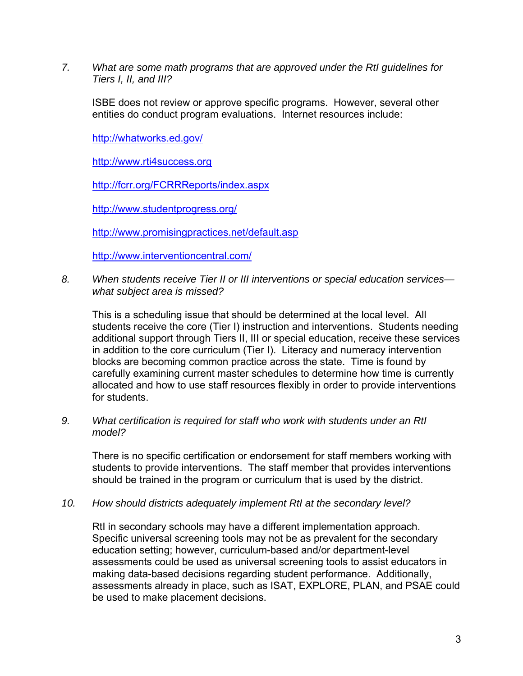*7. What are some math programs that are approved under the RtI guidelines for Tiers I, II, and III?* 

ISBE does not review or approve specific programs. However, several other entities do conduct program evaluations. Internet resources include:

<http://whatworks.ed.gov/>

[http://www.rti4success.org](http://www.rti4success.org/)

<http://fcrr.org/FCRRReports/index.aspx>

<http://www.studentprogress.org/>

<http://www.promisingpractices.net/default.asp>

<http://www.interventioncentral.com/>

*8. When students receive Tier II or III interventions or special education services what subject area is missed?* 

This is a scheduling issue that should be determined at the local level. All students receive the core (Tier I) instruction and interventions. Students needing additional support through Tiers II, III or special education, receive these services in addition to the core curriculum (Tier I). Literacy and numeracy intervention blocks are becoming common practice across the state. Time is found by carefully examining current master schedules to determine how time is currently allocated and how to use staff resources flexibly in order to provide interventions for students.

*9. What certification is required for staff who work with students under an RtI model?* 

There is no specific certification or endorsement for staff members working with students to provide interventions. The staff member that provides interventions should be trained in the program or curriculum that is used by the district.

*10. How should districts adequately implement RtI at the secondary level?* 

RtI in secondary schools may have a different implementation approach. Specific universal screening tools may not be as prevalent for the secondary education setting; however, curriculum-based and/or department-level assessments could be used as universal screening tools to assist educators in making data-based decisions regarding student performance. Additionally, assessments already in place, such as ISAT, EXPLORE, PLAN, and PSAE could be used to make placement decisions.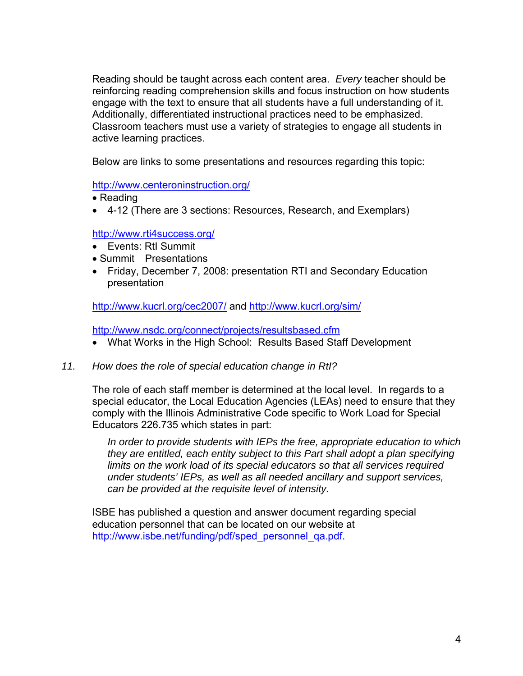Reading should be taught across each content area. *Every* teacher should be reinforcing reading comprehension skills and focus instruction on how students engage with the text to ensure that all students have a full understanding of it. Additionally, differentiated instructional practices need to be emphasized. Classroom teachers must use a variety of strategies to engage all students in active learning practices.

Below are links to some presentations and resources regarding this topic:

<http://www.centeroninstruction.org/>

- Reading
- 4-12 (There are 3 sections: Resources, Research, and Exemplars)

## <http://www.rti4success.org/>

- Events: RtI Summit
- Summit Presentations
- Friday, December 7, 2008: presentation RTI and Secondary Education presentation

<http://www.kucrl.org/cec2007/> and<http://www.kucrl.org/sim/>

<http://www.nsdc.org/connect/projects/resultsbased.cfm>

- What Works in the High School: Results Based Staff Development
- *11. How does the role of special education change in RtI?*

The role of each staff member is determined at the local level. In regards to a special educator, the Local Education Agencies (LEAs) need to ensure that they comply with the Illinois Administrative Code specific to Work Load for Special Educators 226.735 which states in part:

*In order to provide students with IEPs the free, appropriate education to which they are entitled, each entity subject to this Part shall adopt a plan specifying limits on the work load of its special educators so that all services required under students' IEPs, as well as all needed ancillary and support services, can be provided at the requisite level of intensity.* 

ISBE has published a question and answer document regarding special education personnel that can be located on our website at [http://www.isbe.net/funding/pdf/sped\\_personnel\\_qa.pdf.](http://www.isbe.net/funding/pdf/sped_personnel_qa.pdf)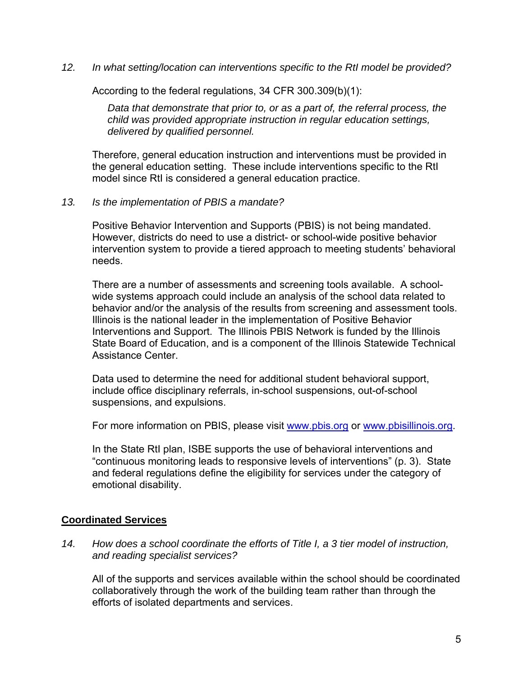*12. In what setting/location can interventions specific to the RtI model be provided?* 

According to the federal regulations, 34 CFR 300.309(b)(1):

*Data that demonstrate that prior to, or as a part of, the referral process, the child was provided appropriate instruction in regular education settings, delivered by qualified personnel.* 

Therefore, general education instruction and interventions must be provided in the general education setting. These include interventions specific to the RtI model since RtI is considered a general education practice.

*13. Is the implementation of PBIS a mandate?* 

Positive Behavior Intervention and Supports (PBIS) is not being mandated. However, districts do need to use a district- or school-wide positive behavior intervention system to provide a tiered approach to meeting students' behavioral needs.

There are a number of assessments and screening tools available. A schoolwide systems approach could include an analysis of the school data related to behavior and/or the analysis of the results from screening and assessment tools. Illinois is the national leader in the implementation of Positive Behavior Interventions and Support. The Illinois PBIS Network is funded by the Illinois State Board of Education, and is a component of the Illinois Statewide Technical Assistance Center.

Data used to determine the need for additional student behavioral support, include office disciplinary referrals, in-school suspensions, out-of-school suspensions, and expulsions.

For more information on PBIS, please visit [www.pbis.org](http://www.pbis.org/) or [www.pbisillinois.org](http://www.pbisillinois.org/).

In the State RtI plan, ISBE supports the use of behavioral interventions and "continuous monitoring leads to responsive levels of interventions" (p. 3). State and federal regulations define the eligibility for services under the category of emotional disability.

### **Coordinated Services**

*14. How does a school coordinate the efforts of Title I, a 3 tier model of instruction, and reading specialist services?* 

All of the supports and services available within the school should be coordinated collaboratively through the work of the building team rather than through the efforts of isolated departments and services.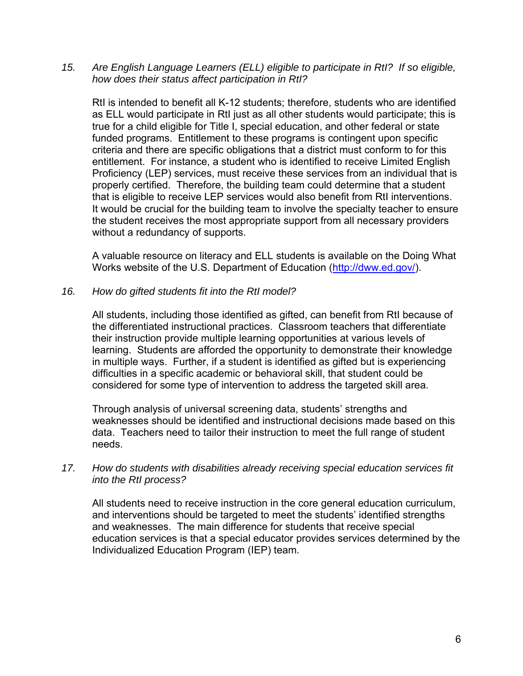*15. Are English Language Learners (ELL) eligible to participate in RtI? If so eligible, how does their status affect participation in RtI?* 

RtI is intended to benefit all K-12 students; therefore, students who are identified as ELL would participate in RtI just as all other students would participate; this is true for a child eligible for Title I, special education, and other federal or state funded programs. Entitlement to these programs is contingent upon specific criteria and there are specific obligations that a district must conform to for this entitlement. For instance, a student who is identified to receive Limited English Proficiency (LEP) services, must receive these services from an individual that is properly certified. Therefore, the building team could determine that a student that is eligible to receive LEP services would also benefit from RtI interventions. It would be crucial for the building team to involve the specialty teacher to ensure the student receives the most appropriate support from all necessary providers without a redundancy of supports.

A valuable resource on literacy and ELL students is available on the Doing What Works website of the U.S. Department of Education [\(http://dww.ed.gov/](http://dww.ed.gov/index.cfm)).

*16. How do gifted students fit into the RtI model?* 

All students, including those identified as gifted, can benefit from RtI because of the differentiated instructional practices. Classroom teachers that differentiate their instruction provide multiple learning opportunities at various levels of learning. Students are afforded the opportunity to demonstrate their knowledge in multiple ways. Further, if a student is identified as gifted but is experiencing difficulties in a specific academic or behavioral skill, that student could be considered for some type of intervention to address the targeted skill area.

Through analysis of universal screening data, students' strengths and weaknesses should be identified and instructional decisions made based on this data. Teachers need to tailor their instruction to meet the full range of student needs.

### *17. How do students with disabilities already receiving special education services fit into the RtI process?*

All students need to receive instruction in the core general education curriculum, and interventions should be targeted to meet the students' identified strengths and weaknesses. The main difference for students that receive special education services is that a special educator provides services determined by the Individualized Education Program (IEP) team.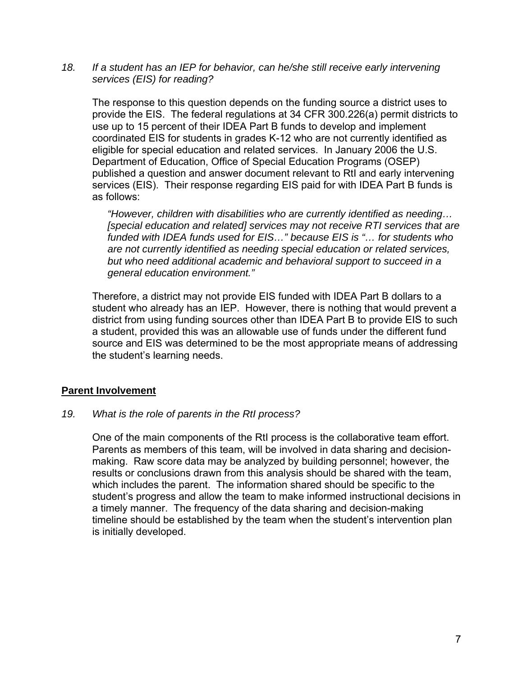18. If a student has an IEP for behavior, can he/she still receive early intervening *services (EIS) for reading?* 

The response to this question depends on the funding source a district uses to provide the EIS. The federal regulations at 34 CFR 300.226(a) permit districts to use up to 15 percent of their IDEA Part B funds to develop and implement coordinated EIS for students in grades K-12 who are not currently identified as eligible for special education and related services. In January 2006 the U.S. Department of Education, Office of Special Education Programs (OSEP) published a question and answer document relevant to RtI and early intervening services (EIS). Their response regarding EIS paid for with IDEA Part B funds is as follows:

*"However, children with disabilities who are currently identified as needing… [special education and related] services may not receive RTI services that are funded with IDEA funds used for EIS…" because EIS is "… for students who are not currently identified as needing special education or related services, but who need additional academic and behavioral support to succeed in a general education environment."* 

Therefore, a district may not provide EIS funded with IDEA Part B dollars to a student who already has an IEP. However, there is nothing that would prevent a district from using funding sources other than IDEA Part B to provide EIS to such a student, provided this was an allowable use of funds under the different fund source and EIS was determined to be the most appropriate means of addressing the student's learning needs.

### **Parent Involvement**

*19. What is the role of parents in the RtI process?* 

One of the main components of the RtI process is the collaborative team effort. Parents as members of this team, will be involved in data sharing and decisionmaking. Raw score data may be analyzed by building personnel; however, the results or conclusions drawn from this analysis should be shared with the team, which includes the parent. The information shared should be specific to the student's progress and allow the team to make informed instructional decisions in a timely manner. The frequency of the data sharing and decision-making timeline should be established by the team when the student's intervention plan is initially developed.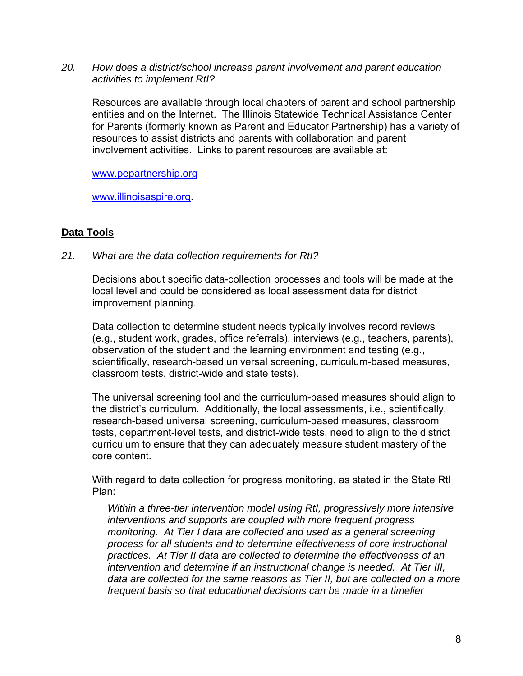*20. How does a district/school increase parent involvement and parent education activities to implement RtI?* 

Resources are available through local chapters of parent and school partnership entities and on the Internet. The Illinois Statewide Technical Assistance Center for Parents (formerly known as Parent and Educator Partnership) has a variety of resources to assist districts and parents with collaboration and parent involvement activities. Links to parent resources are available at:

[www.pepartnership.org](http://www.pepartnership.org/)

[www.illinoisaspire.org](http://www.illinoisaspire.org/).

## **Data Tools**

*21. What are the data collection requirements for RtI?* 

Decisions about specific data-collection processes and tools will be made at the local level and could be considered as local assessment data for district improvement planning.

Data collection to determine student needs typically involves record reviews (e.g., student work, grades, office referrals), interviews (e.g., teachers, parents), observation of the student and the learning environment and testing (e.g., scientifically, research-based universal screening, curriculum-based measures, classroom tests, district-wide and state tests).

The universal screening tool and the curriculum-based measures should align to the district's curriculum. Additionally, the local assessments, i.e., scientifically, research-based universal screening, curriculum-based measures, classroom tests, department-level tests, and district-wide tests, need to align to the district curriculum to ensure that they can adequately measure student mastery of the core content.

With regard to data collection for progress monitoring, as stated in the State RtI Plan:

*Within a three-tier intervention model using RtI, progressively more intensive interventions and supports are coupled with more frequent progress monitoring. At Tier I data are collected and used as a general screening process for all students and to determine effectiveness of core instructional practices. At Tier II data are collected to determine the effectiveness of an intervention and determine if an instructional change is needed. At Tier III, data are collected for the same reasons as Tier II, but are collected on a more frequent basis so that educational decisions can be made in a timelier*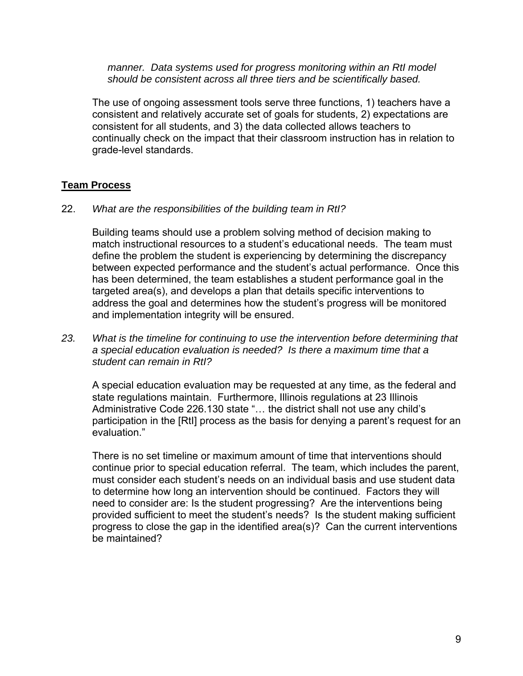*manner. Data systems used for progress monitoring within an RtI model should be consistent across all three tiers and be scientifically based.* 

The use of ongoing assessment tools serve three functions, 1) teachers have a consistent and relatively accurate set of goals for students, 2) expectations are consistent for all students, and 3) the data collected allows teachers to continually check on the impact that their classroom instruction has in relation to grade-level standards.

## **Team Process**

#### 22. *What are the responsibilities of the building team in RtI?*

Building teams should use a problem solving method of decision making to match instructional resources to a student's educational needs. The team must define the problem the student is experiencing by determining the discrepancy between expected performance and the student's actual performance. Once this has been determined, the team establishes a student performance goal in the targeted area(s), and develops a plan that details specific interventions to address the goal and determines how the student's progress will be monitored and implementation integrity will be ensured.

*23. What is the timeline for continuing to use the intervention before determining that a special education evaluation is needed? Is there a maximum time that a student can remain in RtI?* 

A special education evaluation may be requested at any time, as the federal and state regulations maintain. Furthermore, Illinois regulations at 23 Illinois Administrative Code 226.130 state "… the district shall not use any child's participation in the [RtI] process as the basis for denying a parent's request for an evaluation."

There is no set timeline or maximum amount of time that interventions should continue prior to special education referral. The team, which includes the parent, must consider each student's needs on an individual basis and use student data to determine how long an intervention should be continued. Factors they will need to consider are: Is the student progressing? Are the interventions being provided sufficient to meet the student's needs? Is the student making sufficient progress to close the gap in the identified area(s)? Can the current interventions be maintained?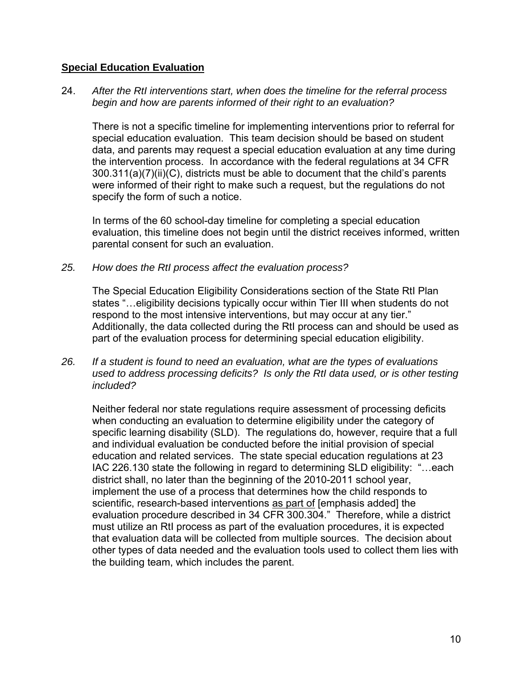### **Special Education Evaluation**

24. *After the RtI interventions start, when does the timeline for the referral process begin and how are parents informed of their right to an evaluation?* 

There is not a specific timeline for implementing interventions prior to referral for special education evaluation. This team decision should be based on student data, and parents may request a special education evaluation at any time during the intervention process. In accordance with the federal regulations at 34 CFR 300.311(a)(7)(ii)(C), districts must be able to document that the child's parents were informed of their right to make such a request, but the regulations do not specify the form of such a notice.

In terms of the 60 school-day timeline for completing a special education evaluation, this timeline does not begin until the district receives informed, written parental consent for such an evaluation.

*25. How does the RtI process affect the evaluation process?* 

The Special Education Eligibility Considerations section of the State RtI Plan states "…eligibility decisions typically occur within Tier III when students do not respond to the most intensive interventions, but may occur at any tier." Additionally, the data collected during the RtI process can and should be used as part of the evaluation process for determining special education eligibility.

*26. If a student is found to need an evaluation, what are the types of evaluations used to address processing deficits? Is only the RtI data used, or is other testing included?* 

Neither federal nor state regulations require assessment of processing deficits when conducting an evaluation to determine eligibility under the category of specific learning disability (SLD). The regulations do, however, require that a full and individual evaluation be conducted before the initial provision of special education and related services. The state special education regulations at 23 IAC 226.130 state the following in regard to determining SLD eligibility: "…each district shall, no later than the beginning of the 2010-2011 school year, implement the use of a process that determines how the child responds to scientific, research-based interventions as part of [emphasis added] the evaluation procedure described in 34 CFR 300.304." Therefore, while a district must utilize an RtI process as part of the evaluation procedures, it is expected that evaluation data will be collected from multiple sources. The decision about other types of data needed and the evaluation tools used to collect them lies with the building team, which includes the parent.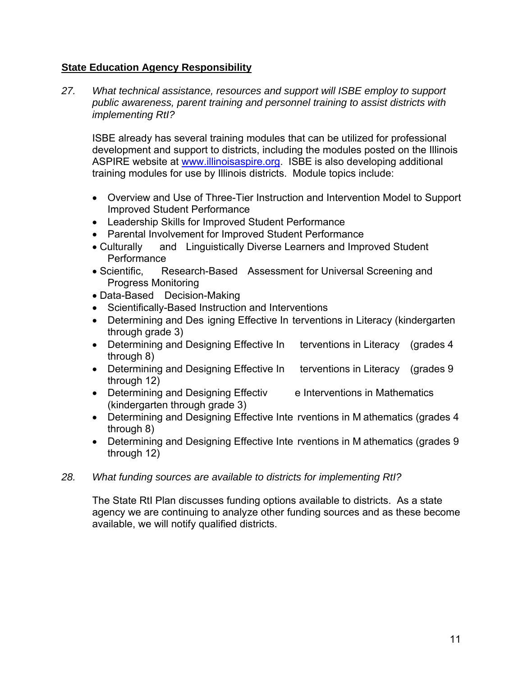## **State Education Agency Responsibility**

*27. What technical assistance, resources and support will ISBE employ to support public awareness, parent training and personnel training to assist districts with implementing RtI?* 

ISBE already has several training modules that can be utilized for professional development and support to districts, including the modules posted on the Illinois ASPIRE website at [www.illinoisaspire.org](http://www.illinoisaspire.org/). ISBE is also developing additional training modules for use by Illinois districts. Module topics include:

- Overview and Use of Three-Tier Instruction and Intervention Model to Support Improved Student Performance
- Leadership Skills for Improved Student Performance
- Parental Involvement for Improved Student Performance
- Culturally and Linguistically Diverse Learners and Improved Student **Performance**
- Scientific, Research-Based Assessment for Universal Screening and Progress Monitoring
- Data-Based Decision-Making
- Scientifically-Based Instruction and Interventions
- Determining and Des igning Effective In terventions in Literacy (kindergarten through grade 3)
- Determining and Designing Effective In terventions in Literacy (grades 4 through 8)
- Determining and Designing Effective In terventions in Literacy (grades 9 through 12)
- Determining and Designing Effectiv e Interventions in Mathematics (kindergarten through grade 3)
- Determining and Designing Effective Inte rventions in M athematics (grades 4 through 8)
- Determining and Designing Effective Inte rventions in M athematics (grades 9 through 12)
- *28. What funding sources are available to districts for implementing RtI?*

The State RtI Plan discusses funding options available to districts. As a state agency we are continuing to analyze other funding sources and as these become available, we will notify qualified districts.